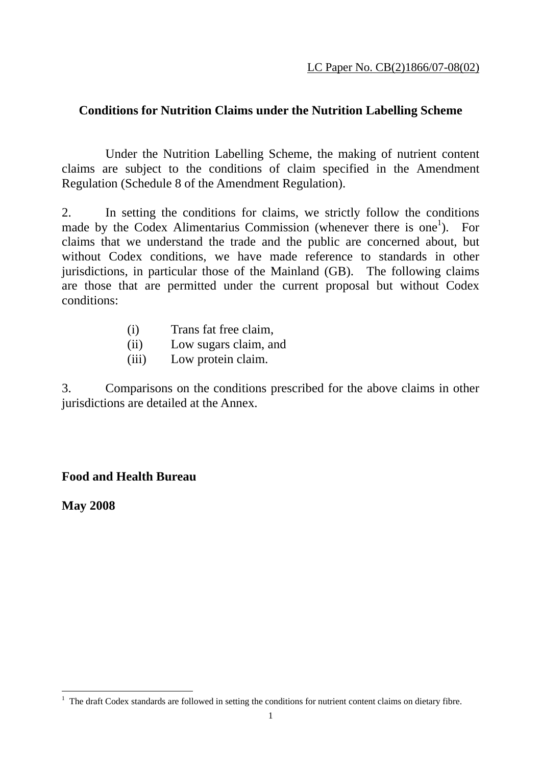## **Conditions for Nutrition Claims under the Nutrition Labelling Scheme**

 Under the Nutrition Labelling Scheme, the making of nutrient content claims are subject to the conditions of claim specified in the Amendment Regulation (Schedule 8 of the Amendment Regulation).

2. In setting the conditions for claims, we strictly follow the conditions made by the Codex Alimentarius Commission (whenever there is one<sup>1</sup>). For claims that we understand the trade and the public are concerned about, but without Codex conditions, we have made reference to standards in other jurisdictions, in particular those of the Mainland (GB). The following claims are those that are permitted under the current proposal but without Codex conditions:

- (i) Trans fat free claim,
- (ii) Low sugars claim, and
- (iii) Low protein claim.

3. Comparisons on the conditions prescribed for the above claims in other jurisdictions are detailed at the Annex.

## **Food and Health Bureau**

**May 2008** 

 $\overline{a}$  $<sup>1</sup>$  The draft Codex standards are followed in setting the conditions for nutrient content claims on dietary fibre.</sup>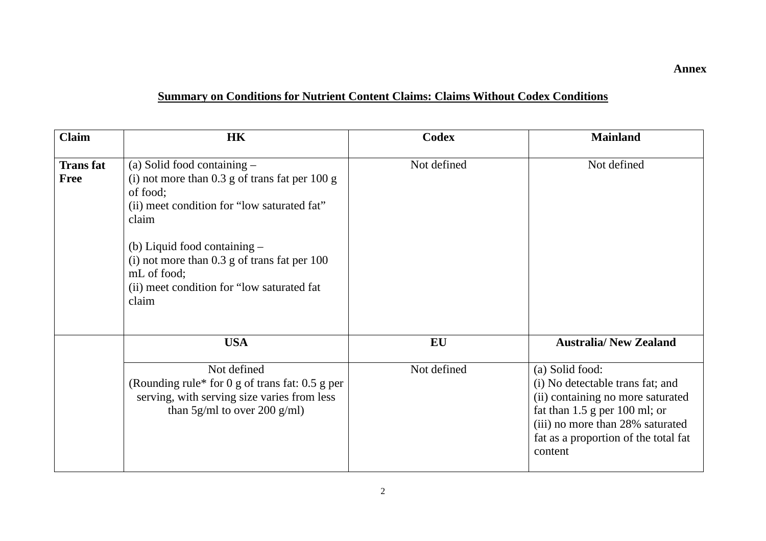## **Summary on Conditions for Nutrient Content Claims: Claims Without Codex Conditions**

| <b>Claim</b>                   | <b>HK</b>                                                                                                                                                                                                                                                                                                           | Codex       | <b>Mainland</b>                                                                                                                                                                                                      |
|--------------------------------|---------------------------------------------------------------------------------------------------------------------------------------------------------------------------------------------------------------------------------------------------------------------------------------------------------------------|-------------|----------------------------------------------------------------------------------------------------------------------------------------------------------------------------------------------------------------------|
| <b>Transfat</b><br><b>Free</b> | (a) Solid food containing $-$<br>(i) not more than $0.3$ g of trans fat per $100$ g<br>of food;<br>(ii) meet condition for "low saturated fat"<br>claim<br>(b) Liquid food containing $-$<br>(i) not more than $0.3$ g of trans fat per $100$<br>mL of food;<br>(ii) meet condition for "low saturated fat<br>claim | Not defined | Not defined                                                                                                                                                                                                          |
|                                | <b>USA</b>                                                                                                                                                                                                                                                                                                          | EU          | <b>Australia/New Zealand</b>                                                                                                                                                                                         |
|                                | Not defined<br>(Rounding rule* for 0 g of trans fat: $0.5$ g per<br>serving, with serving size varies from less<br>than $5g/ml$ to over 200 g/ml)                                                                                                                                                                   | Not defined | (a) Solid food:<br>(i) No detectable trans fat; and<br>(ii) containing no more saturated<br>fat than $1.5$ g per $100$ ml; or<br>(iii) no more than 28% saturated<br>fat as a proportion of the total fat<br>content |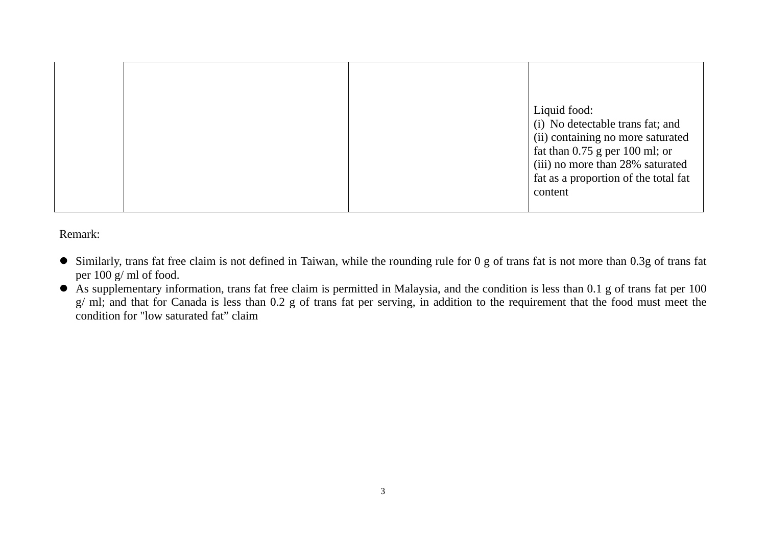|  |  |  | Liquid food:<br>(i) No detectable trans fat; and<br>(ii) containing no more saturated<br>fat than $0.75$ g per 100 ml; or<br>(iii) no more than 28% saturated<br>fat as a proportion of the total fat<br>content |
|--|--|--|------------------------------------------------------------------------------------------------------------------------------------------------------------------------------------------------------------------|
|--|--|--|------------------------------------------------------------------------------------------------------------------------------------------------------------------------------------------------------------------|

Remark:

- $\bullet$  Similarly, trans fat free claim is not defined in Taiwan, while the rounding rule for 0 g of trans fat is not more than 0.3g of trans fat per 100 g/ ml of food.
- $\bullet$  As supplementary information, trans fat free claim is permitted in Malaysia, and the condition is less than 0.1 g of trans fat per 100 g/ ml; and that for Canada is less than 0.2 g of trans fat per serving, in addition to the requirement that the food must meet the condition for "low saturated fat" claim